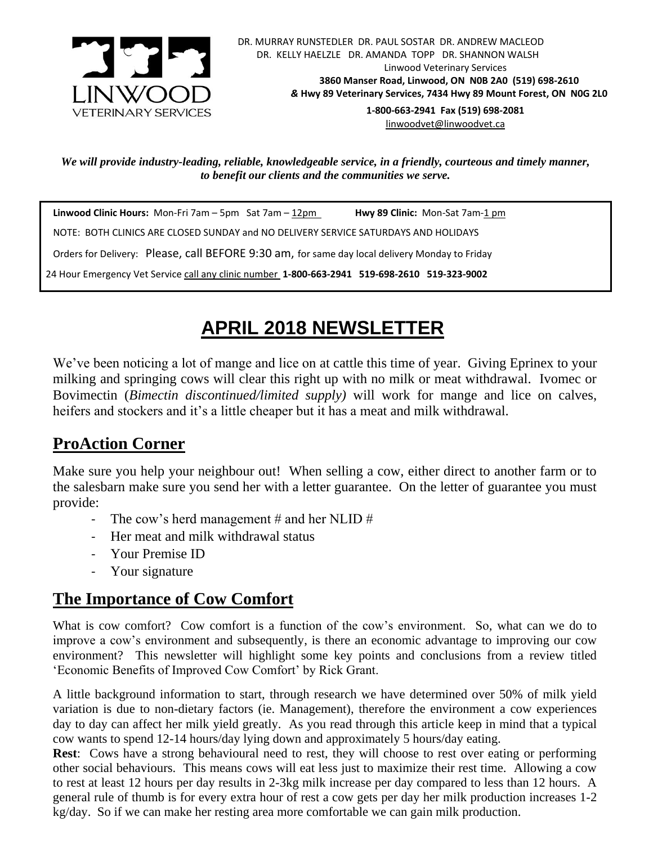

[linwoodvet@linwoodvet.ca](mailto:linwoodvet@linwoodvet.ca)

*We will provide industry-leading, reliable, knowledgeable service, in a friendly, courteous and timely manner, to benefit our clients and the communities we serve.*

 **Linwood Clinic Hours:** Mon-Fri 7am – 5pm Sat 7am – 12pm **Hwy 89 Clinic:** Mon-Sat 7am-1 pm NOTE: BOTH CLINICS ARE CLOSED SUNDAY and NO DELIVERY SERVICE SATURDAYS AND HOLIDAYS Orders for Delivery: Please, call BEFORE 9:30 am, for same day local delivery Monday to Friday 24 Hour Emergency Vet Service call any clinic number **1-800-663-2941 519-698-2610 519-323-9002**

## **APRIL 2018 NEWSLETTER**

We've been noticing a lot of mange and lice on at cattle this time of year. Giving Eprinex to your milking and springing cows will clear this right up with no milk or meat withdrawal. Ivomec or Bovimectin (*Bimectin discontinued/limited supply)* will work for mange and lice on calves, heifers and stockers and it's a little cheaper but it has a meat and milk withdrawal.

## **ProAction Corner**

Make sure you help your neighbour out! When selling a cow, either direct to another farm or to the salesbarn make sure you send her with a letter guarantee. On the letter of guarantee you must provide:

- The cow's herd management # and her NLID #
- Her meat and milk withdrawal status
- Your Premise ID
- Your signature

## **The Importance of Cow Comfort**

What is cow comfort? Cow comfort is a function of the cow's environment. So, what can we do to improve a cow's environment and subsequently, is there an economic advantage to improving our cow environment? This newsletter will highlight some key points and conclusions from a review titled 'Economic Benefits of Improved Cow Comfort' by Rick Grant.

A little background information to start, through research we have determined over 50% of milk yield variation is due to non-dietary factors (ie. Management), therefore the environment a cow experiences day to day can affect her milk yield greatly. As you read through this article keep in mind that a typical cow wants to spend 12-14 hours/day lying down and approximately 5 hours/day eating.

**Rest**: Cows have a strong behavioural need to rest, they will choose to rest over eating or performing other social behaviours. This means cows will eat less just to maximize their rest time. Allowing a cow to rest at least 12 hours per day results in 2-3kg milk increase per day compared to less than 12 hours. A general rule of thumb is for every extra hour of rest a cow gets per day her milk production increases 1-2 kg/day. So if we can make her resting area more comfortable we can gain milk production.